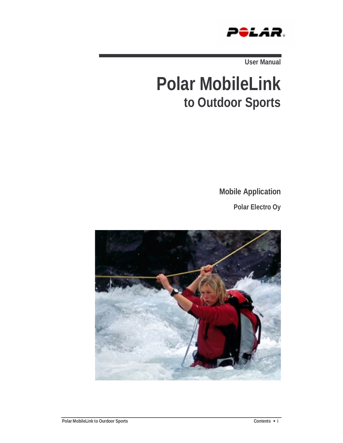

**User Manual** 

# **Polar MobileLink to Outdoor Sports**

**Mobile Application** 

**Polar Electro Oy** 

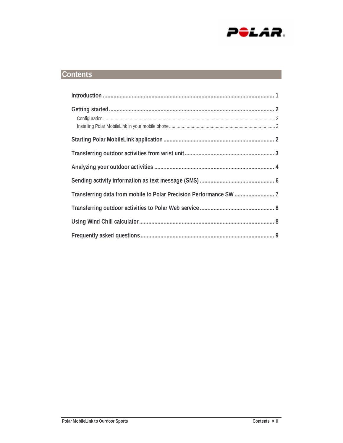

## **Contents**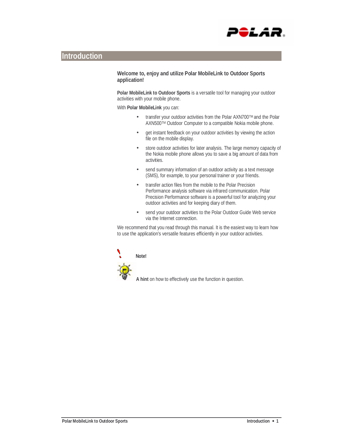

## **Introduction**

**Welcome to, enjoy and utilize Polar MobileLink to Outdoor Sports application!** 

**Polar MobileLink to Outdoor Sports** is a versatile tool for managing your outdoor activities with your mobile phone.

With **Polar MobileLink** you can:

- transfer your outdoor activities from the Polar AXN700TM and the Polar AXN500TM Outdoor Computer to a compatible Nokia mobile phone.
- get instant feedback on your outdoor activities by viewing the action file on the mobile display.
- store outdoor activities for later analysis. The large memory capacity of the Nokia mobile phone allows you to save a big amount of data from activities.
- send summary information of an outdoor activity as a text message (SMS), for example, to your personal trainer or your friends.
- transfer action files from the mobile to the Polar Precision Performance analysis software via infrared communication. Polar Precision Performance software is a powerful tool for analyzing your outdoor activities and for keeping diary of them.
- send your outdoor activities to the Polar Outdoor Guide Web service via the Internet connection.

We recommend that you read through this manual. It is the easiest way to learn how to use the application's versatile features efficiently in your outdoor activities.



**A hint** on how to effectively use the function in question.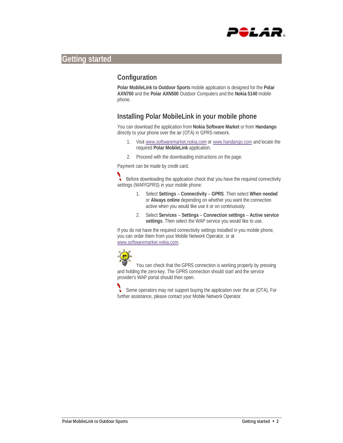

## **Getting started**

## **Configuration**

**Polar MobileLink to Outdoor Sports** mobile application is designed for the **Polar AXN700** and the **Polar AXN500** Outdoor Computers and the **Nokia 5140** mobile phone.

## **Installing Polar MobileLink in your mobile phone**

You can download the application from **Nokia Software Market** or from **Handango** directly to your phone over the air (OTA) in GPRS network.

- 1. Visit www.softwaremarket.nokia.com or www.handango.com and locate the required **Polar MobileLink** application.
- 2. Proceed with the downloading instructions on the page.

Payment can be made by credit card.

Before downloading the application check that you have the required connectivity settings (WAP/GPRS) in your mobile phone:

- 1. Select **Settings Connectivity GPRS**. Then select **When needed** or **Always online** depending on whether you want the connection active when you would like use it or on continuously.
- 2. Select **Services Settings Connection settings Active service settings**. Then select the WAP service you would like to use.

If you do not have the required connectivity settings installed in you mobile phone, you can order them from your Mobile Network Operator, or at www.softwaremarket.nokia.com.



You can check that the GPRS connection is working properly by pressing and holding the zero-key. The GPRS connection should start and the service provider's WAP portal should then open.

Some operators may not support buying the application over the air (OTA). For further assistance, please contact your Mobile Network Operator.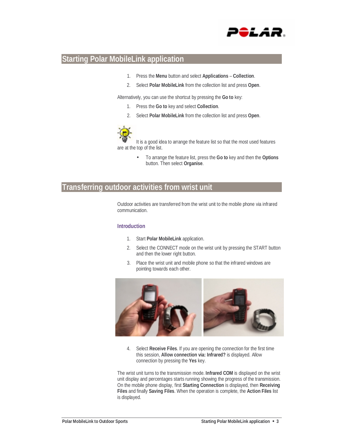

## **Starting Polar MobileLink application**

- 1. Press the **Menu** button and select **Applications Collection**.
- 2. Select **Polar MobileLink** from the collection list and press **Open**.

Alternatively, you can use the shortcut by pressing the **Go to** key:

- 1. Press the **Go to** key and select **Collection**.
- 2. Select **Polar MobileLink** from the collection list and press **Open**.



It is a good idea to arrange the feature list so that the most used features are at the top of the list.

> • To arrange the feature list, press the **Go to** key and then the **Options**  button. Then select **Organise**.

## **Transferring outdoor activities from wrist unit**

Outdoor activities are transferred from the wrist unit to the mobile phone via infrared communication.

#### **Introduction**

- 1. Start **Polar MobileLink** application.
- 2. Select the CONNECT mode on the wrist unit by pressing the START button and then the lower right button.
- 3. Place the wrist unit and mobile phone so that the infrared windows are pointing towards each other.



4. Select **Receive Files**. If you are opening the connection for the first time this session, **Allow connection via: Infrared?** is displayed. Allow connection by pressing the **Yes** key.

The wrist unit turns to the transmission mode. **Infrared COM** is displayed on the wrist unit display and percentages starts running showing the progress of the transmission. On the mobile phone display, first **Starting Connection** is displayed, then **Receiving Files** and finally **Saving Files**. When the operation is complete, the **Action Files** list is displayed.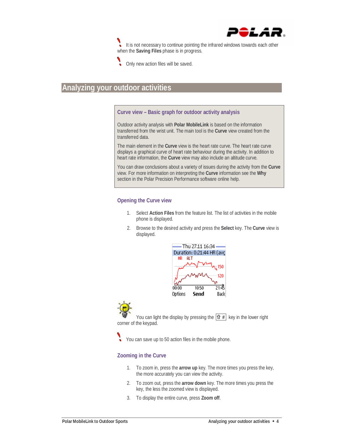

It is not necessary to continue pointing the infrared windows towards each other when the **Saving Files** phase is in progress.



Only new action files will be saved.

## **Analyzing your outdoor activities**

#### **Curve view – Basic graph for outdoor activity analysis**

Outdoor activity analysis with **Polar MobileLink** is based on the information transferred from the wrist unit. The main tool is the **Curve** view created from the transferred data.

The main element in the **Curve** view is the heart rate curve. The heart rate curve displays a graphical curve of heart rate behaviour during the activity. In addition to heart rate information, the **Curve** view may also include an altitude curve.

You can draw conclusions about a variety of issues during the activity from the **Curve** view. For more information on interpreting the **Curve** information see the **Why** section in the Polar Precision Performance software online help.

#### **Opening the Curve view**

- 1. Select **Action Files** from the feature list. The list of activities in the mobile phone is displayed.
- 2. Browse to the desired activity and press the **Select** key. The **Curve** view is displayed.



You can light the display by pressing the  $\boxed{\mathbf{\hat{T}}^{\#}}$  key in the lower right corner of the keypad.

You can save up to 50 action files in the mobile phone.

#### **Zooming in the Curve**

- 1. To zoom in, press the **arrow up** key. The more times you press the key, the more accurately you can view the activity.
- 2. To zoom out, press the **arrow down** key. The more times you press the key, the less the zoomed view is displayed.
- 3. To display the entire curve, press **Zoom off**.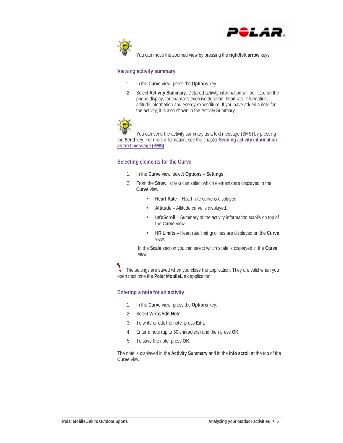



You can move the zoomed view by pressing the **right/left arrow** keys.

#### **Viewing activity summary**

- 1. In the **Curve** view, press the **Options** key.
- 2. Select **Activity Summary**. Detailed activity information will be listed on the phone display, for example, exercise duration, heart rate information, altitude information and energy expenditure. If you have added a note for the activity, it is also shown in the Activity Summary.



You can send the activity summary as a text message (SMS) by pressing the **Send** key. For more information, see the chapter **Sending activity information as text message (SMS)**.

#### **Selecting elements for the Curve**

- 1. In the **Curve** view, select **Options Settings**.
- 2. From the **Show** list you can select which elements are displayed in the **Curve** view.
	- **Heart Rate** Heart rate curve is displayed.
	- **Altitude** Altitude curve is displayed.
	- **InfoScroll** Summary of the activity information scrolls on top of the **Curve** view.
	- **HR Limits** Heart rate limit gridlines are displayed on the **Curve** view.

In the **Scale** section you can select which scale is displayed in the **Curve** view.

The settings are saved when you close the application. They are valid when you open next time the **Polar MobileLink** application.

#### **Entering a note for an activity**

- 1. In the **Curve** view, press the **Options** key.
- 2. Select **Write/Edit Note**.
- 3. To write or edit the note, press **Edit**.
- 4. Enter a note (up to 50 characters) and then press **OK**.
- 5. To save the note, press **OK**.

The note is displayed in the **Activity Summary** and in the **Info scroll** at the top of the **Curve** view.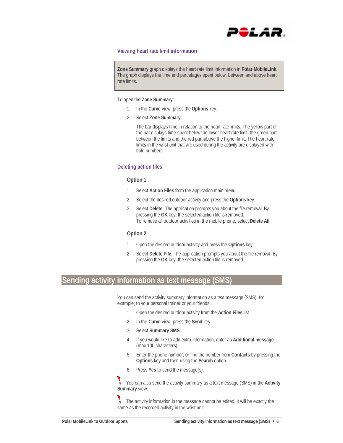

#### **Viewing heart rate limit information**

**Zone Summary** graph displays the heart rate limit information in **Polar MobileLink**. The graph displays the time and percetages spent below, between and above heart rate limits.

To open the **Zone Summary**:

- 1. In the **Curve** view, press the **Options** key.
- 2. Select **Zone Summary**.

The bar displays time in relation to the heart rate limits. The yellow part of the bar displays time spent below the lower heart rate limit, the green part between the limits and the red part above the higher limit. The heart rate limits in the wrist unit that are used during the activity are displayed with bold numbers.

#### **Deleting action files**

#### **Option 1**

- 1. Select **Action Files** from the application main menu.
- 2. Select the desired outdoor activity and press the **Options** key.
- 3. Select **Delete**. The application prompts you about the file removal. By pressing the **OK** key, the selected action file is removed. To remove all outdoor activities in the mobile phone, select **Delete All**.

#### **Option 2**

- 1. Open the desired outdoor activity and press the **Options** key.
- 2. Select **Delete File**. The application prompts you about the file removal. By pressing the **OK** key, the selected action file is removed.

## **Sending activity information as text message (SMS)**

You can send the activity summary information as a text message (SMS), for example, to your personal trainer or your friends.

- 1. Open the desired outdoor activity from the **Action Files** list.
- 2. In the **Curve** view, press the **Send** key.
- 3. Select **Summary SMS**.
- 4. If you would like to add extra information, enter an **Additional message** (max 100 characters).
- 5. Enter the phone number, or find the number from **Contacts** by pressing the **Options** key and then using the **Search** option.
- 6. Press **Yes** to send the message(s).

 $\ddot{\phantom{0}}$ You can also send the activity summary as a text message (SMS) in the **Activity Summary** view.

 $\cdot$ The activity information in the message cannot be edited. It will be exactly the same as the recorded activity in the wrist unit.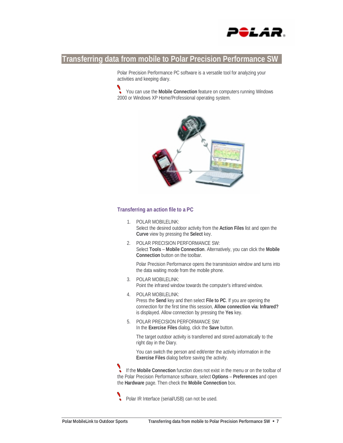

## **Transferring data from mobile to Polar Precision Performance SW**

Polar Precision Performance PC software is a versatile tool for analyzing your activities and keeping diary.

You can use the **Mobile Connection** feature on computers running Windows 2000 or Windows XP Home/Professional operating system.



#### **Transferring an action file to a PC**

- 1. POLAR MOBILELINK: Select the desired outdoor activity from the **Action Files** list and open the **Curve** view by pressing the **Select** key.
- 2. POLAR PRECISION PERFORMANCE SW: Select **Tools** – **Mobile Connection**. Alternatively, you can click the **Mobile Connection** button on the toolbar.

Polar Precision Performance opens the transmission window and turns into the data waiting mode from the mobile phone.

- 3. POLAR MOBILELINK: Point the infrared window towards the computer's infrared window.
- 4. POLAR MOBILELINK: Press the **Send** key and then select **File to PC**. If you are opening the connection for the first time this session, **Allow connection via: Infrared?** is displayed. Allow connection by pressing the **Yes** key.
- 5. POLAR PRECISION PERFORMANCE SW: In the **Exercise Files** dialog, click the **Save** button.

The target outdoor activity is transferred and stored automatically to the right day in the Diary.

You can switch the person and edit/enter the activity information in the **Exercise Files** dialog before saving the activity.

If the **Mobile Connection** function does not exist in the menu or on the toolbar of the Polar Precision Performance software, select **Options** – **Preferences** and open the **Hardware** page. Then check the **Mobile Connection** box.

Polar IR Interface (serial/USB) can not be used.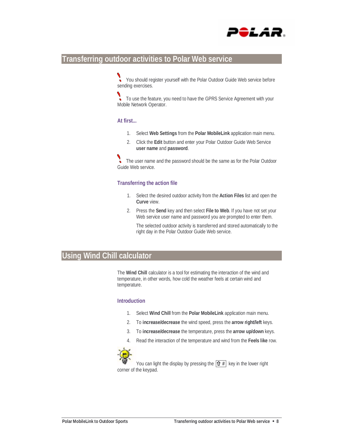

### **Transferring outdoor activities to Polar Web service**

You should register yourself with the Polar Outdoor Guide Web service before sending exercises.

To use the feature, you need to have the GPRS Service Agreement with your Mobile Network Operator.

#### **At first...**

- 1. Select **Web Settings** from the **Polar MobileLink** application main menu.
- 2. Click the **Edit** button and enter your Polar Outdoor Guide Web Service **user name** and **password**.

The user name and the password should be the same as for the Polar Outdoor Guide Web service.

#### **Transferring the action file**

- 1. Select the desired outdoor activity from the **Action Files** list and open the **Curve** view.
- 2. Press the **Send** key and then select **File to Web**. If you have not set your Web service user name and password you are prompted to enter them.

The selected outdoor activity is transferred and stored automatically to the right day in the Polar Outdoor Guide Web service.

## **Using Wind Chill calculator**

The **Wind Chill** calculator is a tool for estimating the interaction of the wind and temperature, in other words, how cold the weather feels at certain wind and temperature.

#### **Introduction**

- 1. Select **Wind Chill** from the **Polar MobileLink** application main menu.
- 2. To **increase/decrease** the wind speed, press the **arrow right/left** keys.
- 3. To **increase/decrease** the temperature, press the **arrow up/down** keys.
- 4. Read the interaction of the temperature and wind from the **Feels like** row.



You can light the display by pressing the  $\boxed{\mathbf{\hat{\Omega}}}$  # key in the lower right corner of the keypad.